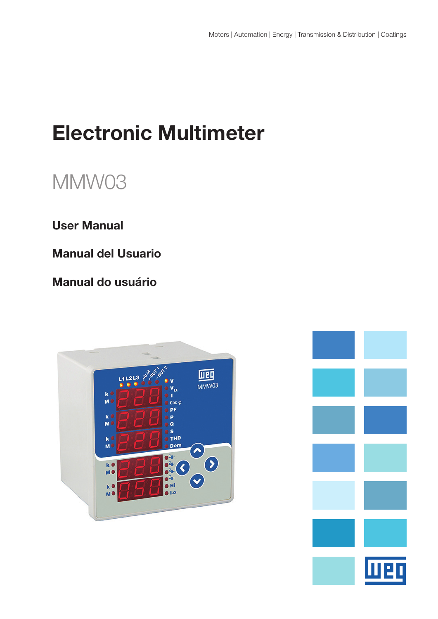# Electronic Multimeter

# MMW03

## User Manual

Manual del Usuario

Manual do usuário



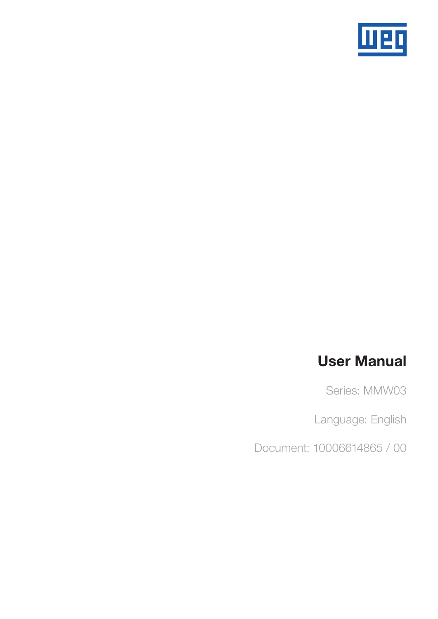

## User Manual

Series: MMW03

Language: English

Document: 10006614865 / 00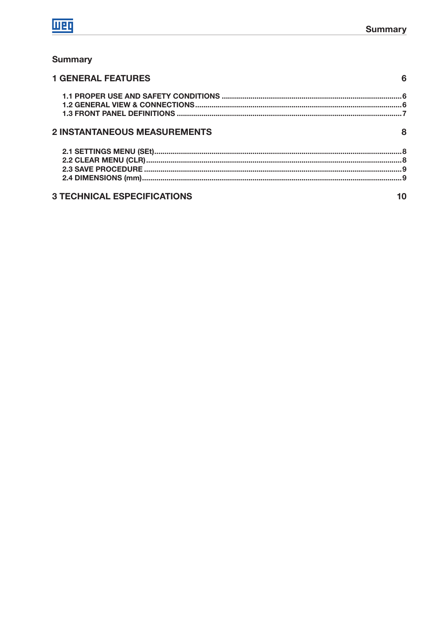

## **Summary**

| <b>1 GENERAL FEATURES</b>           |   |
|-------------------------------------|---|
|                                     |   |
|                                     |   |
|                                     |   |
| <b>2 INSTANTANEOUS MEASUREMENTS</b> | 8 |
|                                     |   |
|                                     |   |
|                                     |   |
|                                     |   |
| <b>3 TECHNICAL ESPECIFICATIONS</b>  |   |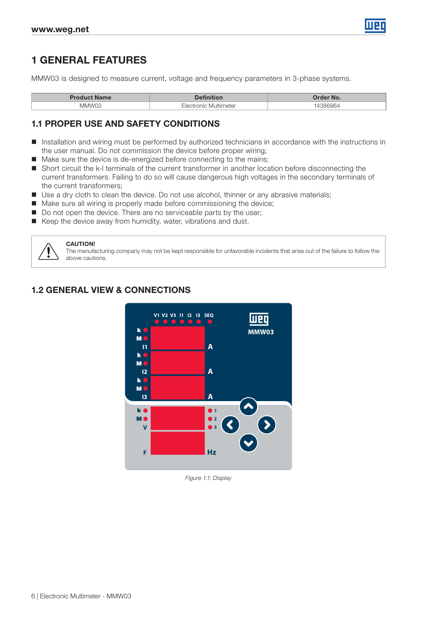

## 1 GENERAL FEATURES

MMW03 is designed to measure current, voltage and frequency parameters in 3-phase systems.

| <b>Product Name</b> |                              | <b>Order No.</b> |
|---------------------|------------------------------|------------------|
| MMW03               | , Multimeter<br><b>SCILC</b> |                  |

#### 1.1 PROPER USE AND SAFETY CONDITIONS

- Installation and wiring must be performed by authorized technicians in accordance with the instructions in the user manual. Do not commission the device before proper wiring;
- Make sure the device is de-energized before connecting to the mains;
- Short circuit the k-I terminals of the current transformer in another location before disconnecting the current transformers. Failing to do so will cause dangerous high voltages in the secondary terminals of the current transformers;
- Use a dry cloth to clean the device. Do not use alcohol, thinner or any abrasive materials;
- Make sure all wiring is properly made before commissioning the device;
- Do not open the device. There are no serviceable parts by the user;
- Keep the device away from humidity, water, vibrations and dust.



#### CAUTION!

The manufacturing company may not be kept responsible for unfavorable incidents that arise out of the failure to follow the above cautions.

## 1.2 GENERAL VIEW & CONNECTIONS



Figure 1.1: Display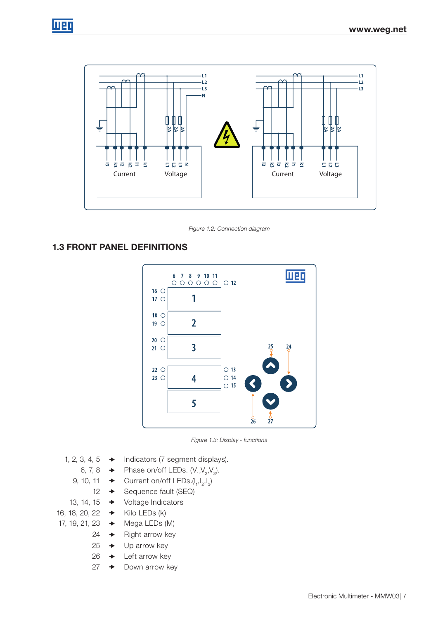



Figure 1.2: Connection diagram

## 1.3 FRONT PANEL DEFINITIONS



Figure 1.3: Display - functions

- 1, 2, 3, 4, 5  $\rightarrow$  Indicators (7 segment displays).
	- 6, 7, 8  $\rightarrow$  Phase on/off LEDs.  $(V_1, V_2, V_3)$ .
	- 9, 10, 11  $\rightarrow$  Current on/off LEDs.( $I_1, I_2, I_3$ )
		- 12  $\rightarrow$  Sequence fault (SEQ)
	- 13, 14, 15 Voltage Indıcators
- 16, 18, 20, 22  $\rightarrow$  Kilo LEDs (k)
- 17, 19, 21, 23  $\rightarrow$  Mega LEDs (M)
	- $24 \rightarrow$  Right arrow key
	- $25 \rightarrow$  Up arrow key
	- 26  $\rightarrow$  Left arrow key
	- $27 \rightarrow$  Down arrow key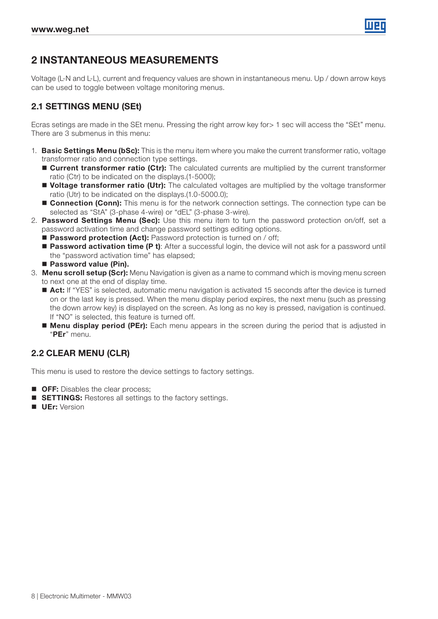

## 2 INSTANTANEOUS MEASUREMENTS

Voltage (L-N and L-L), current and frequency values are shown in instantaneous menu. Up / down arrow keys can be used to toggle between voltage monitoring menus.

## 2.1 SETTINGS MENU (SEt)

Ecras setings are made in the SEt menu. Pressing the right arrow key for> 1 sec will access the "SEt" menu. There are 3 submenus in this menu:

- 1. Basic Settings Menu (bSc): This is the menu item where you make the current transformer ratio, voltage transformer ratio and connection type settings.
	- Current transformer ratio (Ctr): The calculated currents are multiplied by the current transformer ratio (Ctr) to be indicated on the displays.(1-5000);
	- **Voltage transformer ratio (Utr):** The calculated voltages are multiplied by the voltage transformer ratio (Utr) to be indicated on the displays.(1.0-5000.0);
	- **Connection (Conn):** This menu is for the network connection settings. The connection type can be selected as "StA" (3-phase 4-wire) or "dEL" (3-phase 3-wire).
- 2. Password Settings Menu (Sec): Use this menu item to turn the password protection on/off, set a password activation time and change password settings editing options.
	- **Password protection (Act):** Password protection is turned on / off;
	- **Password activation time (P t)**: After a successful login, the device will not ask for a password until the "password activation time" has elapsed;
	- Password value (Pin).
- 3. Menu scroll setup (Scr): Menu Navigation is given as a name to command which is moving menu screen to next one at the end of display time.
	- Act: If "YES" is selected, automatic menu navigation is activated 15 seconds after the device is turned on or the last key is pressed. When the menu display period expires, the next menu (such as pressing the down arrow key) is displayed on the screen. As long as no key is pressed, navigation is continued. If "NO" is selected, this feature is turned off.
	- **Menu display period (PEr):** Each menu appears in the screen during the period that is adjusted in "PEr" menu.

#### 2.2 CLEAR MENU (CLR)

This menu is used to restore the device settings to factory settings.

- **OFF:** Disables the clear process;
- **SETTINGS:** Restores all settings to the factory settings.
- **UEr:** Version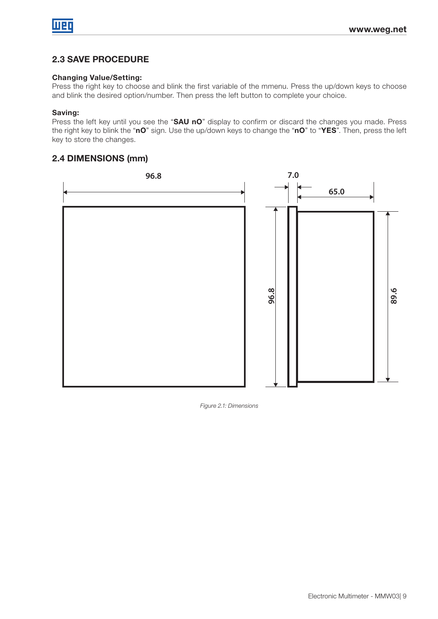## 2.3 SAVE PROCEDURE

#### Changing Value/Setting:

Press the right key to choose and blink the first variable of the mmenu. Press the up/down keys to choose and blink the desired option/number. Then press the left button to complete your choice.

#### Saving:

Press the left key until you see the "SAU nO" display to confirm or discard the changes you made. Press the right key to blink the "nO" sign. Use the up/down keys to change the "nO" to "YES". Then, press the left key to store the changes.

### 2.4 DIMENSIONS (mm)



Figure 2.1: Dimensions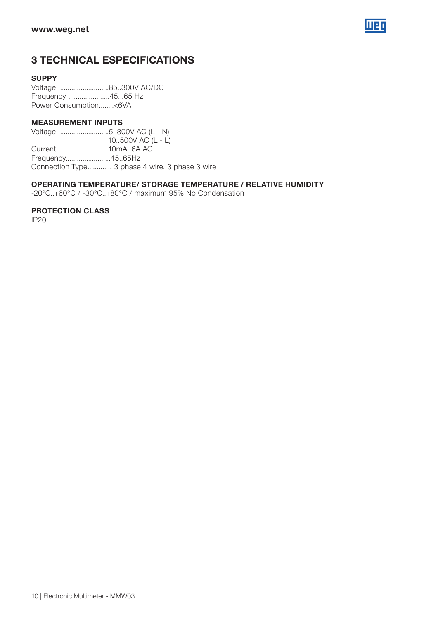

## 3 TECHNICAL ESPECIFICATIONS

#### **SUPPY**

Voltage ...........................85..300V AC/DC Frequency ......................45...65 Hz Power Consumption........<6VA

#### MEASUREMENT INPUTS

Voltage ...........................5..300V AC (L - N) 10..500V AC (L - L) Current............................10mA..6A AC Frequency........................45..65Hz Connection Type............. 3 phase 4 wire, 3 phase 3 wire

#### OPERATING TEMPERATURE/ STORAGE TEMPERATURE / RELATIVE HUMIDITY

-20°C..+60°C / -30°C..+80°C / maximum 95% No Condensation

#### PROTECTION CLASS

IP20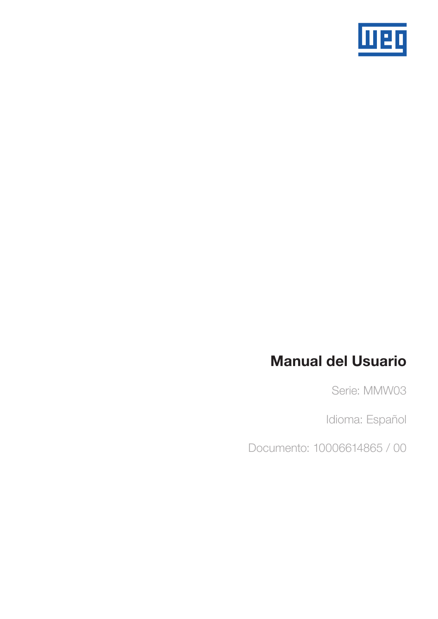

## Manual del Usuario

Serie: MMW03

Idioma: Español

Documento: 10006614865 / 00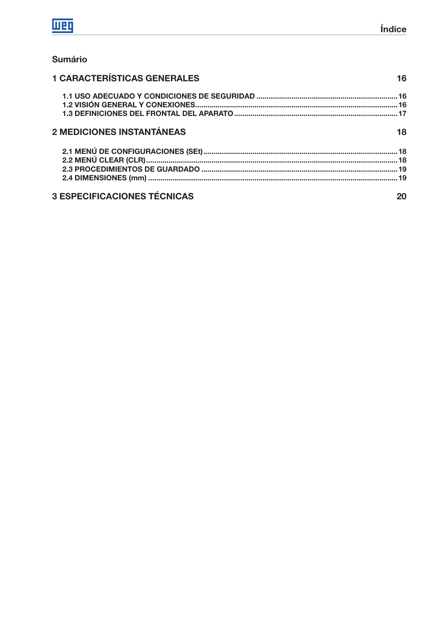## **Sumário**

| <b>1 CARACTERÍSTICAS GENERALES</b> |    |
|------------------------------------|----|
|                                    |    |
|                                    |    |
| 2 MEDICIONES INSTANTÁNEAS          | 18 |
|                                    |    |
|                                    |    |
|                                    |    |
|                                    |    |
| <b>3 ESPECIFICACIONES TÉCNICAS</b> |    |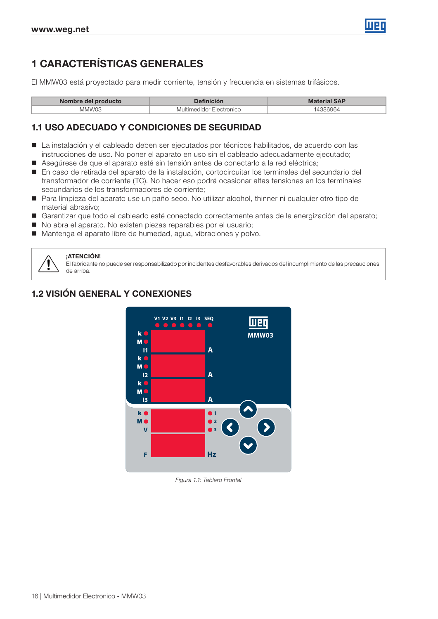

## 1 CARACTERÍSTICAS GENERALES

El MMW03 está proyectado para medir corriente, tensión y frecuencia en sistemas trifásicos.

| Nombre del producto |                                | rial SAP<br>Mater |
|---------------------|--------------------------------|-------------------|
| MMW03               | <b>Electronicc</b><br>`aldor . |                   |

#### 1.1 USO ADECUADO Y CONDICIONES DE SEGURIDAD

- La instalación y el cableado deben ser ejecutados por técnicos habilitados, de acuerdo con las instrucciones de uso. No poner el aparato en uso sin el cableado adecuadamente ejecutado;
- Asegúrese de que el aparato esté sin tensión antes de conectarlo a la red eléctrica;
- En caso de retirada del aparato de la instalación, cortocircuitar los terminales del secundario del transformador de corriente (TC). No hacer eso podrá ocasionar altas tensiones en los terminales secundarios de los transformadores de corriente;
- Para limpieza del aparato use un paño seco. No utilizar alcohol, thinner ni cualquier otro tipo de material abrasivo;
- Garantizar que todo el cableado esté conectado correctamente antes de la energización del aparato;
- No abra el aparato. No existen piezas reparables por el usuario;
- Mantenga el aparato libre de humedad, agua, vibraciones y polvo.



#### **:ATENCIÓN!**

El fabricante no puede ser responsabilizado por incidentes desfavorables derivados del incumplimiento de las precauciones de arriba.

## 1.2 VISIÓN GENERAL Y CONEXIONES



Figura 1.1: Tablero Frontal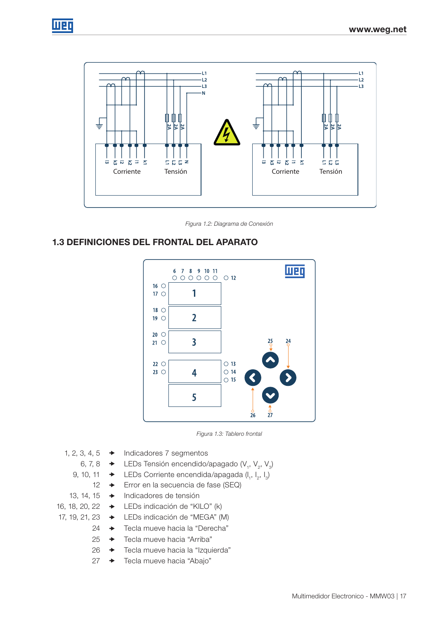



Figura 1.2: Diagrama de Conexión

## 1.3 DEFINICIONES DEL FRONTAL DEL APARATO





- 1, 2, 3, 4, 5  $\rightarrow$  Indicadores 7 segmentos
	- 6, 7, 8  $\rightarrow$  LEDs Tensión encendido/apagado (V<sub>1</sub>, V<sub>2</sub>, V<sub>3</sub>)
	- 9, 10, 11  $\rightarrow$  LEDs Corriente encendida/apagada (I<sub>1</sub>, I<sub>2</sub>, I<sub>3</sub>)
		- 12 **→** Error en la secuencia de fase (SEQ)
	- 13, 14, 15 → Indicadores de tensión
- 16, 18, 20, 22 LEDs indicación de "KILO" (k)
- 17, 19, 21, 23 LEDs indicación de "MEGA" (M)
	- 24 → Tecla mueve hacia la "Derecha"
	- 25 → Tecla mueve hacia "Arriba"
	- 26 → Tecla mueve hacia la "Izquierda"
	- 27 → Tecla mueve hacia "Abajo"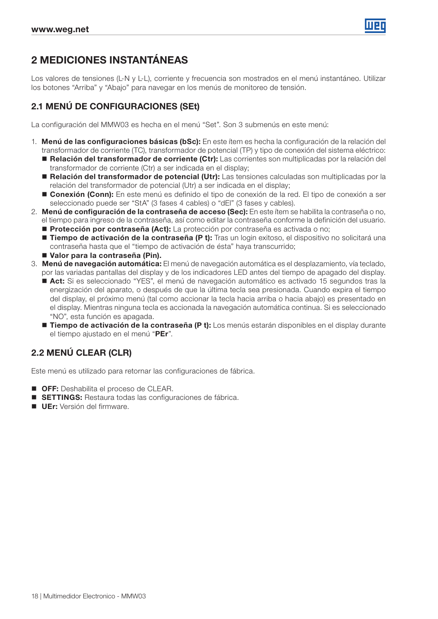

## 2 MEDICIONES INSTANTÁNEAS

Los valores de tensiones (L-N y L-L), corriente y frecuencia son mostrados en el menú instantáneo. Utilizar los botones "Arriba" y "Abajo" para navegar en los menús de monitoreo de tensión.

## 2.1 MENÚ DE CONFIGURACIONES (SEt)

La configuración del MMW03 es hecha en el menú "Set". Son 3 submenús en este menú:

- 1. Menú de las configuraciones básicas (bSc): En este ítem es hecha la configuración de la relación del transformador de corriente (TC), transformador de potencial (TP) y tipo de conexión del sistema eléctrico:
	- Relación del transformador de corriente (Ctr): Las corrientes son multiplicadas por la relación del transformador de corriente (Ctr) a ser indicada en el display;
	- Relación del transformador de potencial (Utr): Las tensiones calculadas son multiplicadas por la relación del transformador de potencial (Utr) a ser indicada en el display;
	- **Conexión (Conn):** En este menú es definido el tipo de conexión de la red. El tipo de conexión a ser seleccionado puede ser "StA" (3 fases 4 cables) o "dEl" (3 fases y cables).
- 2. Menú de configuración de la contraseña de acceso (Sec): En este ítem se habilita la contraseña o no, el tiempo para ingreso de la contraseña, así como editar la contraseña conforme la definición del usuario.
	- **Protección por contraseña (Act):** La protección por contraseña es activada o no;
	- Tiempo de activación de la contraseña (P t): Tras un login exitoso, el dispositivo no solicitará una contraseña hasta que el "tiempo de activación de ésta" haya transcurrido;
	- Valor para la contraseña (Pin).
- 3. Menú de navegación automática: El menú de navegación automática es el desplazamiento, vía teclado, por las variadas pantallas del display y de los indicadores LED antes del tiempo de apagado del display.
	- Act: Si es seleccionado "YES", el menú de navegación automático es activado 15 segundos tras la energización del aparato, o después de que la última tecla sea presionada. Cuando expira el tiempo del display, el próximo menú (tal como accionar la tecla hacia arriba o hacia abajo) es presentado en el display. Mientras ninguna tecla es accionada la navegación automática continua. Si es seleccionado "NO", esta función es apagada.
	- **Tiempo de activación de la contraseña (P t):** Los menús estarán disponibles en el display durante el tiempo ajustado en el menú "PEr".

## 2.2 MENÚ CLEAR (CLR)

Este menú es utilizado para retornar las configuraciones de fábrica.

- **OFF:** Deshabilita el proceso de CLEAR.
- SETTINGS: Restaura todas las configuraciones de fábrica.
- **UEr:** Versión del firmware.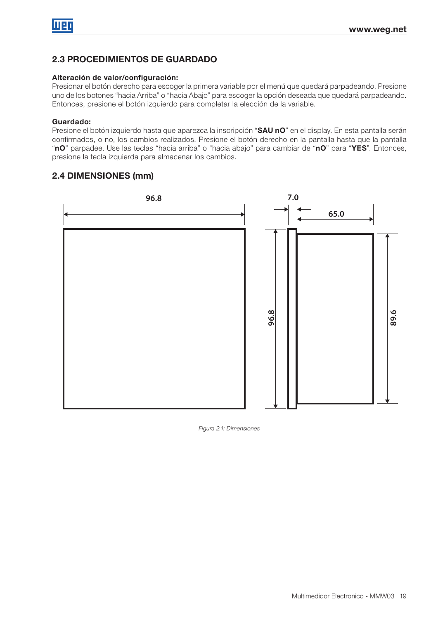## 2.3 PROCEDIMIENTOS DE GUARDADO

#### Alteración de valor/configuración:

Presionar el botón derecho para escoger la primera variable por el menú que quedará parpadeando. Presione uno de los botones "hacia Arriba" o "hacia Abajo" para escoger la opción deseada que quedará parpadeando. Entonces, presione el botón izquierdo para completar la elección de la variable.

#### Guardado:

Presione el botón izquierdo hasta que aparezca la inscripción "SAU nO" en el display. En esta pantalla serán confirmados, o no, los cambios realizados. Presione el botón derecho en la pantalla hasta que la pantalla "nO" parpadee. Use las teclas "hacia arriba" o "hacia abajo" para cambiar de "nO" para "YES". Entonces, presione la tecla izquierda para almacenar los cambios.

## 2.4 DIMENSIONES (mm)



Figura 2.1: Dimensiones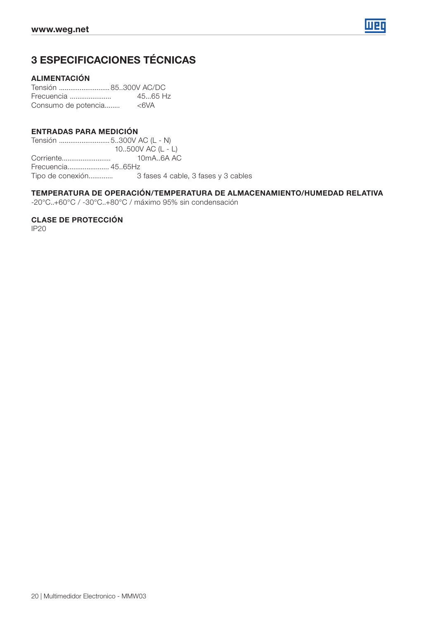

## 3 ESPECIFICACIONES TÉCNICAS

#### ALIMENTACIÓN

Tensión ...........................85..300V AC/DC Frecuencia ...................... 45...65 Hz Consumo de potencia........ <6VA

#### ENTRADAS PARA MEDICIÓN

Tensión ...........................5..300V AC (L - N) 10..500V AC (L - L)<br>10mA..6A AC Corriente.......................... 10mA..6A AC Frecuencia...................... 45..65Hz Tipo de conexión............. 3 fases 4 cable, 3 fases y 3 cables

#### TEMPERATURA DE OPERACIÓN/TEMPERATURA DE ALMACENAMIENTO/HUMEDAD RELATIVA

-20°C..+60°C / -30°C..+80°C / máximo 95% sin condensación

CLASE DE PROTECCIÓN

IP20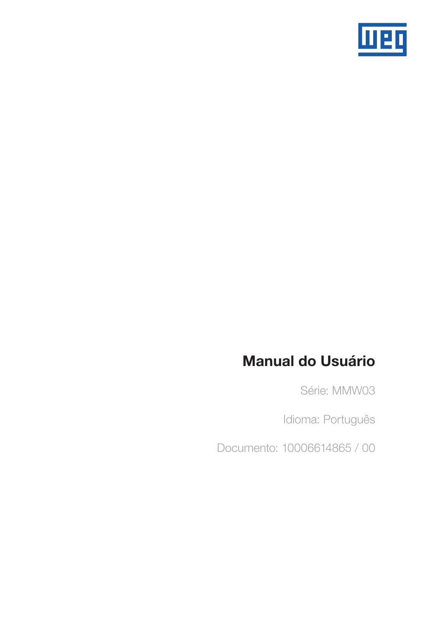

## Manual do Usuário

Série: MMW03

Idioma: Português

Documento: 10006614865 / 00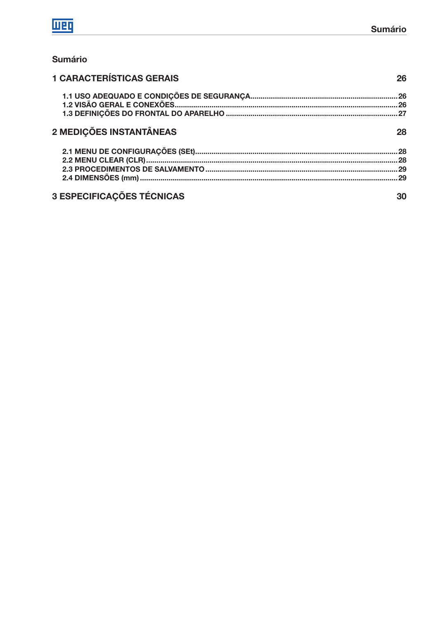## **Sumário**

| <b>1 CARACTERÍSTICAS GERAIS</b>  | 26 |
|----------------------------------|----|
|                                  |    |
|                                  |    |
|                                  |    |
| 2 MEDIÇÕES INSTANTÂNEAS          | 28 |
|                                  |    |
|                                  |    |
|                                  |    |
|                                  |    |
| <b>3 ESPECIFICAÇÕES TÉCNICAS</b> | 30 |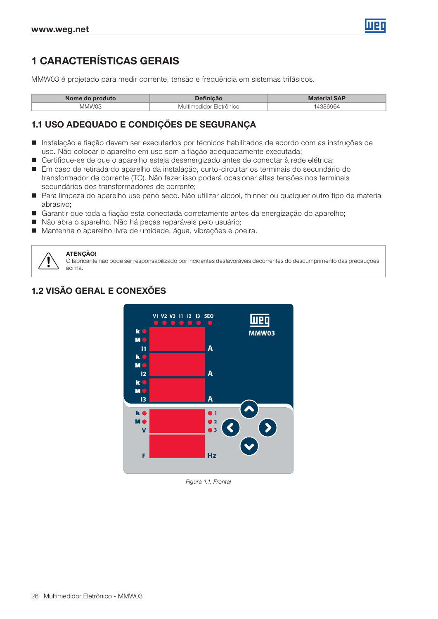

## 1 CARACTERÍSTICAS GERAIS

MMW03 é projetado para medir corrente, tensão e frequência em sistemas trifásicos.

| Nome do produto | <b>efinicão</b>         | <b>Material SAP</b> |
|-----------------|-------------------------|---------------------|
| MMW03           | Multimedidor Eletrônico | 386964              |

### 1.1 USO ADEQUADO E CONDIÇÕES DE SEGURANÇA

- Instalação e fiação devem ser executados por técnicos habilitados de acordo com as instruções de uso. Não colocar o aparelho em uso sem a fiação adequadamente executada;
- Certifique-se de que o aparelho esteja desenergizado antes de conectar à rede elétrica;
- Em caso de retirada do aparelho da instalação, curto-circuitar os terminais do secundário do transformador de corrente (TC). Não fazer isso poderá ocasionar altas tensões nos terminais secundários dos transformadores de corrente;
- Para limpeza do aparelho use pano seco. Não utilizar alcool, thinner ou qualquer outro tipo de material abrasivo;
- Garantir que toda a fiação esta conectada corretamente antes da energização do aparelho;
- Não abra o aparelho. Não há peças reparáveis pelo usuário;
- Mantenha o aparelho livre de umidade, água, vibrações e poeira.



#### ATENÇÃO!

O fabricante não pode ser responsabilizado por incidentes desfavoráveis decorrentes do descumprimento das precauções acima.

## 1.2 VISÃO GERAL E CONEXÕES



Figura 1.1: Frontal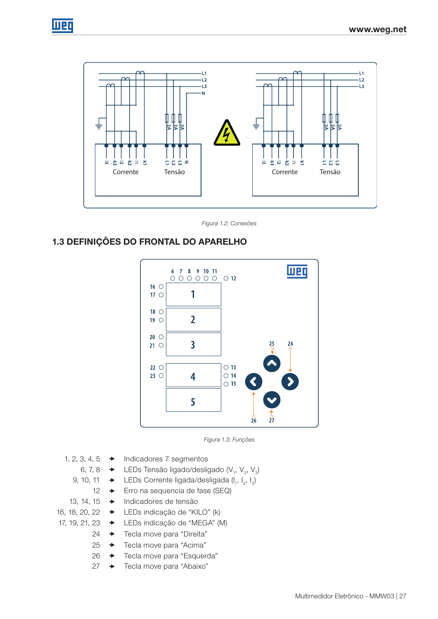

Figura 1.2: Conexões

## 1.3 DEFINIÇÕES DO FRONTAL DO APARELHO





- 1, 2, 3, 4, 5  $\rightarrow$  Indicadores 7 segmentos
	- 6, 7, 8 → LEDs Tensão ligado/desligado (V<sub>1</sub>, V<sub>2</sub>, V<sub>3</sub>)
	- 9, 10, 11  $\rightarrow$  LEDs Corrente ligada/desligada (l<sub>1</sub>, l<sub>2</sub>, l<sub>3</sub>)
		- 12 **→** Erro na sequencia de fase (SEQ)
	- 13, 14, 15 → Indicadores de tensão
- 16, 18, 20, 22 LEDs indicação de "KILO" (k)
- 17, 19, 21, 23 LEDs indicação de "MEGA" (M)
	- 24 → Tecla move para "Direita"
	- 25 → Tecla move para "Acima"
	- 26 → Tecla move para "Esquerda"
	- 27 → Tecla move para "Abaixo"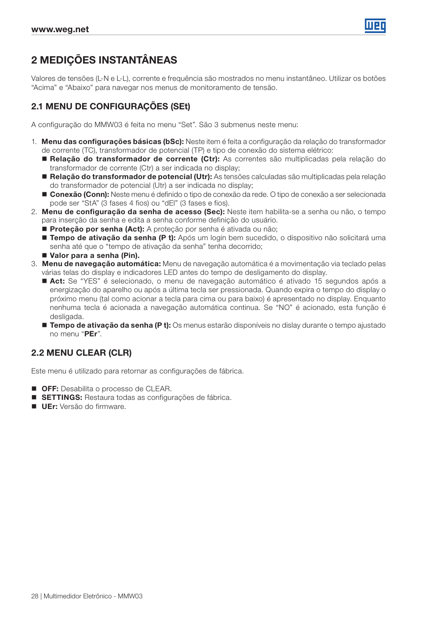

## 2 MEDIÇÕES INSTANTÂNEAS

Valores de tensões (L-N e L-L), corrente e frequência são mostrados no menu instantâneo. Utilizar os botões "Acima" e "Abaixo" para navegar nos menus de monitoramento de tensão.

## 2.1 MENU DE CONFIGURAÇÕES (SEt)

A configuração do MMW03 é feita no menu "Set". São 3 submenus neste menu:

- 1. Menu das configurações básicas (bSc): Neste item é feita a configuração da relação do transformador de corrente (TC), transformador de potencial (TP) e tipo de conexão do sistema elétrico:
	- Relação do transformador de corrente (Ctr): As correntes são multiplicadas pela relação do transformador de corrente (Ctr) a ser indicada no display;
	- Relação do transformador de potencial (Utr): As tensões calculadas são multiplicadas pela relação do transformador de potencial (Utr) a ser indicada no display;
	- **Conexão (Conn):** Neste menu é definido o tipo de conexão da rede. O tipo de conexão a ser selecionada pode ser "StA" (3 fases 4 fios) ou "dEl" (3 fases e fios).
- 2. Menu de configuração da senha de acesso (Sec): Neste item habilita-se a senha ou não, o tempo para inserção da senha e edita a senha conforme definição do usuário.
	- Proteção por senha (Act): A proteção por senha é ativada ou não;
	- Tempo de ativação da senha (P t): Após um login bem sucedido, o dispositivo não solicitará uma senha até que o "tempo de ativação da senha" tenha decorrido;
	- Valor para a senha (Pin).
- 3. Menu de navegação automática: Menu de navegação automática é a movimentação via teclado pelas várias telas do display e indicadores LED antes do tempo de desligamento do display.
	- Act: Se "YES" é selecionado, o menu de navegação automático é ativado 15 segundos após a energização do aparelho ou após a última tecla ser pressionada. Quando expira o tempo do display o próximo menu (tal como acionar a tecla para cima ou para baixo) é apresentado no display. Enquanto nenhuma tecla é acionada a navegação automática continua. Se "NO" é acionado, esta função é desligada.
	- **Tempo de ativação da senha (P t):** Os menus estarão disponíveis no dislay durante o tempo ajustado no menu "PEr".

#### 2.2 MENU CLEAR (CLR)

Este menu é utilizado para retornar as configurações de fábrica.

- **OFF:** Desabilita o processo de CLEAR.
- **SETTINGS:** Restaura todas as configurações de fábrica.
- **UEr:** Versão do firmware.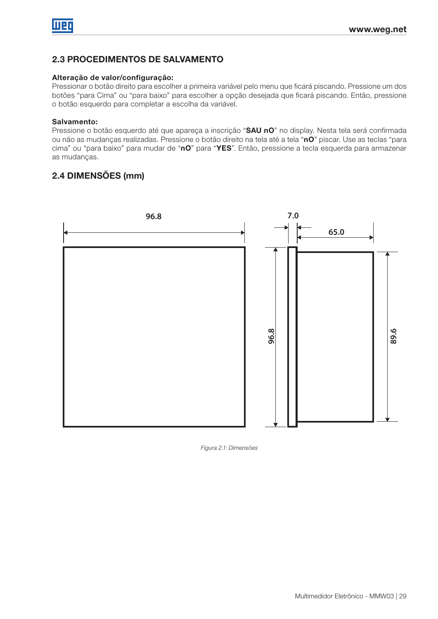## 2.3 PROCEDIMENTOS DE SALVAMENTO

#### Alteração de valor/configuração:

Pressionar o botão direito para escolher a primeira variável pelo menu que ficará piscando. Pressione um dos botões "para Cima" ou "para baixo" para escolher a opção desejada que ficará piscando. Então, pressione o botão esquerdo para completar a escolha da variável.

#### Salvamento:

Pressione o botão esquerdo até que apareça a inscrição "SAU nO" no display. Nesta tela será confirmada ou não as mudanças realizadas. Pressione o botão direito na tela até a tela "nO" piscar. Use as teclas "para cima" ou "para baixo" para mudar de "nO" para "YES". Então, pressione a tecla esquerda para armazenar as mudanças.

#### 2.4 DIMENSÕES (mm)



Figura 2.1: Dimensões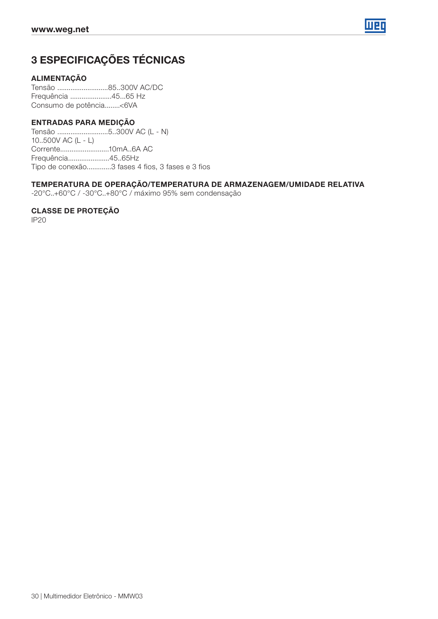

## 3 ESPECIFICAÇÕES TÉCNICAS

#### ALIMENTAÇÃO

Tensão ...........................85..300V AC/DC Frequência ......................45...65 Hz Consumo de potência........<6VA

#### ENTRADAS PARA MEDIÇÃO

Tensão ...........................5..300V AC (L - N) 10..500V AC (L - L) Corrente..........................10mA..6A AC Frequência......................45..65Hz Tipo de conexão.............3 fases 4 fios, 3 fases e 3 fios

#### TEMPERATURA DE OPERAÇÃO/TEMPERATURA DE ARMAZENAGEM/UMIDADE RELATIVA

-20°C..+60°C / -30°C..+80°C / máximo 95% sem condensação

#### CLASSE DE PROTEÇÃO

IP20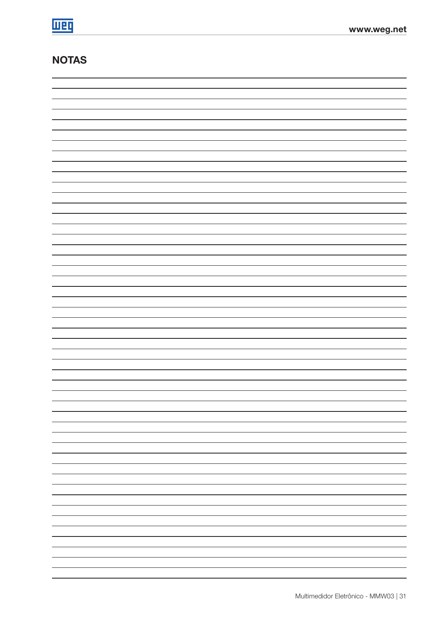## NOTAS

| $\overline{\phantom{a}}$ |
|--------------------------|
|                          |
| —                        |
|                          |
| -                        |
|                          |
|                          |
|                          |
| —                        |
|                          |
| $\overline{\phantom{a}}$ |
|                          |
| —                        |
|                          |
| —                        |
| —                        |
|                          |
| —                        |
|                          |
| $\overline{\phantom{a}}$ |
|                          |
|                          |
|                          |
| —                        |
|                          |
| —                        |
|                          |
| $\overline{\phantom{0}}$ |
|                          |
| —                        |